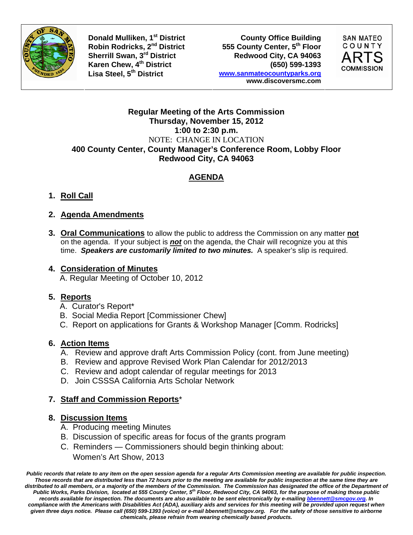

**Donald Mulliken, 1<sup>st</sup> District County Office Building<br>
Robin Rodricks, 2<sup>nd</sup> District 555 County Center, 5<sup>th</sup> Floor** Robin Rodricks, 2<sup>nd</sup> District **555 County Center, 5<sup>th</sup> Floor**<br>
Sherrill Swan, 3<sup>rd</sup> District **1998 Redwood City, CA** 94063 Redwood City, CA 94063 **Karen Chew, 4th District (650) 599-1393 Lisa Steel, 5th District www.sanmateocountyparks.org www.discoversmc.com** 



#### **Regular Meeting of the Arts Commission Thursday, November 15, 2012 1:00 to 2:30 p.m.**  NOTE: CHANGE IN LOCATION **400 County Center, County Manager's Conference Room, Lobby Floor Redwood City, CA 94063**

## **AGENDA**

**1. Roll Call**

### **2. Agenda Amendments**

**3. Oral Communications** to allow the public to address the Commission on any matter **not** on the agenda. If your subject is *not* on the agenda, the Chair will recognize you at this time. *Speakers are customarily limited to two minutes.* A speaker's slip is required.

#### **4. Consideration of Minutes**

A. Regular Meeting of October 10, 2012

### **5. Reports**

- A. Curator's Report\*
- B. Social Media Report [Commissioner Chew]
- C. Report on applications for Grants & Workshop Manager [Comm. Rodricks]

### **6. Action Items**

- A. Review and approve draft Arts Commission Policy (cont. from June meeting)
- B. Review and approve Revised Work Plan Calendar for 2012/2013
- C. Review and adopt calendar of regular meetings for 2013
- D. Join CSSSA California Arts Scholar Network

### **7. Staff and Commission Reports**\*

### **8. Discussion Items**

- A. Producing meeting Minutes
- B. Discussion of specific areas for focus of the grants program
- C. Reminders Commissioners should begin thinking about: Women's Art Show, 2013

*Public records that relate to any item on the open session agenda for a regular Arts Commission meeting are available for public inspection. Those records that are distributed less than 72 hours prior to the meeting are available for public inspection at the same time they are distributed to all members, or a majority of the members of the Commission. The Commission has designated the office of the Department of Public Works, Parks Division, located at 555 County Center, 5th Floor, Redwood City, CA 94063, for the purpose of making those public records available for inspection. The documents are also available to be sent electronically by e-mailing bbennett@smcgov.org. In compliance with the Americans with Disabilities Act (ADA), auxiliary aids and services for this meeting will be provided upon request when given three days notice. Please call (650) 599-1393 (voice) or e-mail bbennett@smcgov.org. For the safety of those sensitive to airborne chemicals, please refrain from wearing chemically based products.*